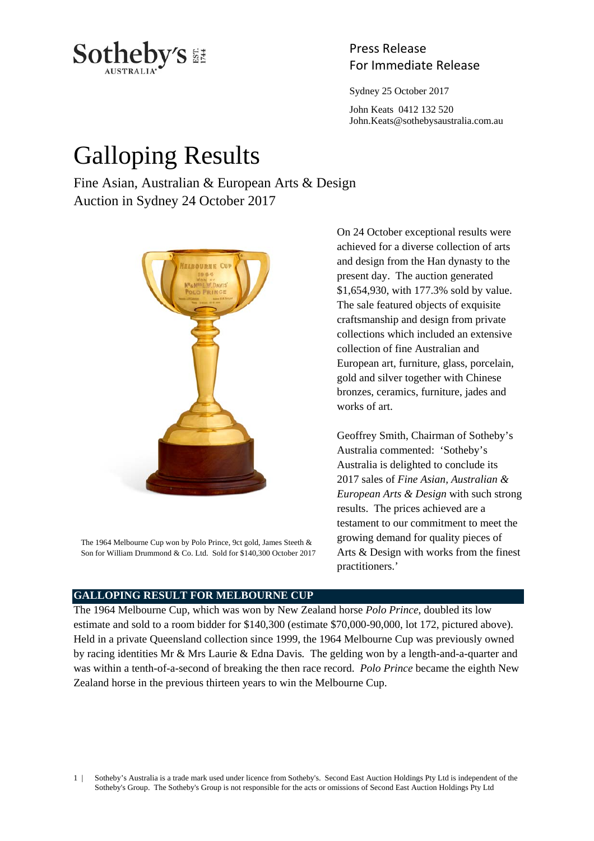

# Press Release

Sydney 25 October 2017

 John Keats 0412 132 520 John.Keats@sothebysaustralia.com.au

## Galloping Results

Fine Asian, Australian & European Arts & Design Auction in Sydney 24 October 2017



The 1964 Melbourne Cup won by Polo Prince, 9ct gold, James Steeth & Son for William Drummond & Co. Ltd. Sold for \$140,300 October 2017

On 24 October exceptional results were achieved for a diverse collection of arts and design from the Han dynasty to the present day. The auction generated \$1,654,930, with 177.3% sold by value. The sale featured objects of exquisite craftsmanship and design from private collections which included an extensive collection of fine Australian and European art, furniture, glass, porcelain, gold and silver together with Chinese bronzes, ceramics, furniture, jades and works of art.

Geoffrey Smith, Chairman of Sotheby's Australia commented: 'Sotheby's Australia is delighted to conclude its 2017 sales of *Fine Asian, Australian & European Arts & Design* with such strong results. The prices achieved are a testament to our commitment to meet the growing demand for quality pieces of Arts & Design with works from the finest practitioners.'

#### **GALLOPING RESULT FOR MELBOURNE CUP**

The 1964 Melbourne Cup, which was won by New Zealand horse *Polo Prince*, doubled its low estimate and sold to a room bidder for \$140,300 (estimate \$70,000-90,000, lot 172, pictured above). Held in a private Queensland collection since 1999, the 1964 Melbourne Cup was previously owned by racing identities Mr & Mrs Laurie & Edna Davis*.* The gelding won by a length-and-a-quarter and was within a tenth-of-a-second of breaking the then race record. *Polo Prince* became the eighth New Zealand horse in the previous thirteen years to win the Melbourne Cup.

1 | Sotheby's Australia is a trade mark used under licence from Sotheby's. Second East Auction Holdings Pty Ltd is independent of the Sotheby's Group. The Sotheby's Group is not responsible for the acts or omissions of Second East Auction Holdings Pty Ltd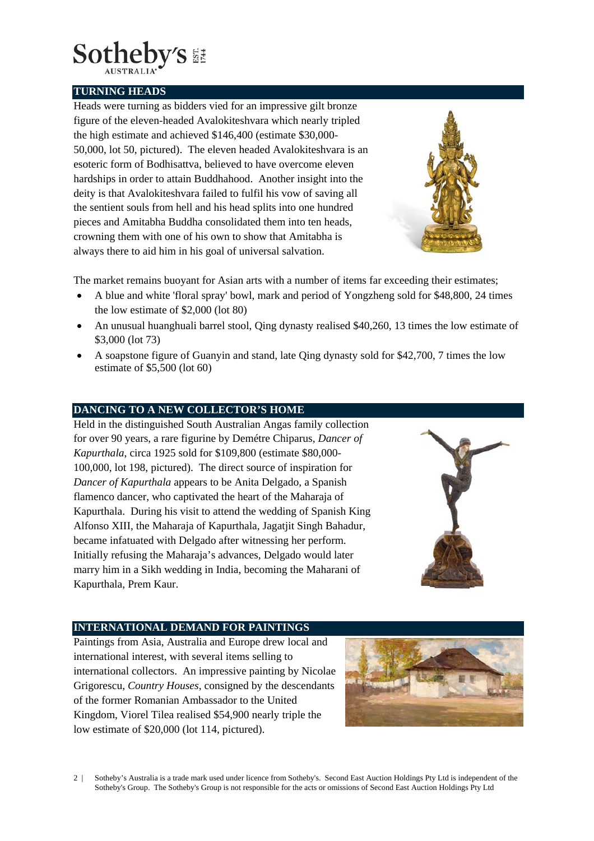

**TURNING HEADS** 

Heads were turning as bidders vied for an impressive gilt bronze figure of the eleven-headed Avalokiteshvara which nearly tripled the high estimate and achieved \$146,400 (estimate \$30,000- 50,000, lot 50, pictured). The eleven headed Avalokiteshvara is an esoteric form of Bodhisattva, believed to have overcome eleven hardships in order to attain Buddhahood. Another insight into the deity is that Avalokiteshvara failed to fulfil his vow of saving all the sentient souls from hell and his head splits into one hundred pieces and Amitabha Buddha consolidated them into ten heads, crowning them with one of his own to show that Amitabha is always there to aid him in his goal of universal salvation.



The market remains buoyant for Asian arts with a number of items far exceeding their estimates;

- A blue and white 'floral spray' bowl, mark and period of Yongzheng sold for \$48,800, 24 times the low estimate of \$2,000 (lot 80)
- An unusual huanghuali barrel stool, Oing dynasty realised \$40,260, 13 times the low estimate of \$3,000 (lot 73)
- A soapstone figure of Guanyin and stand, late Qing dynasty sold for \$42,700, 7 times the low estimate of \$5,500 (lot 60)

### **DANCING TO A NEW COLLECTOR'S HOME**

Held in the distinguished South Australian Angas family collection for over 90 years, a rare figurine by Demétre Chiparus, *Dancer of Kapurthala*, circa 1925 sold for \$109,800 (estimate \$80,000- 100,000, lot 198, pictured). The direct source of inspiration for *Dancer of Kapurthala* appears to be Anita Delgado, a Spanish flamenco dancer, who captivated the heart of the Maharaja of Kapurthala. During his visit to attend the wedding of Spanish King Alfonso XIII, the Maharaja of Kapurthala, Jagatjit Singh Bahadur, became infatuated with Delgado after witnessing her perform. Initially refusing the Maharaja's advances, Delgado would later marry him in a Sikh wedding in India, becoming the Maharani of Kapurthala, Prem Kaur.



#### **INTERNATIONAL DEMAND FOR PAINTINGS**

Paintings from Asia, Australia and Europe drew local and international interest, with several items selling to international collectors. An impressive painting by Nicolae Grigorescu, *Country Houses*, consigned by the descendants of the former Romanian Ambassador to the United Kingdom, Viorel Tilea realised \$54,900 nearly triple the low estimate of \$20,000 (lot 114, pictured).



2 | Sotheby's Australia is a trade mark used under licence from Sotheby's. Second East Auction Holdings Pty Ltd is independent of the Sotheby's Group. The Sotheby's Group is not responsible for the acts or omissions of Second East Auction Holdings Pty Ltd